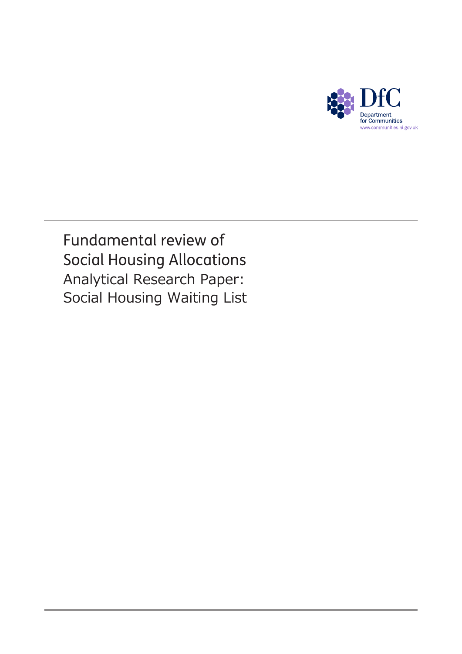

Fundamental review of Social Housing Allocations Analytical Research Paper: Social Housing Waiting List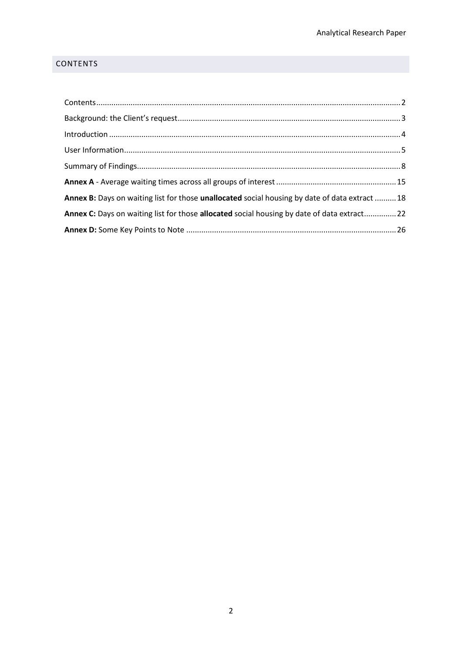# <span id="page-1-0"></span>**CONTENTS**

| Annex B: Days on waiting list for those unallocated social housing by date of data extract 18 |  |
|-----------------------------------------------------------------------------------------------|--|
| Annex C: Days on waiting list for those allocated social housing by date of data extract 22   |  |
|                                                                                               |  |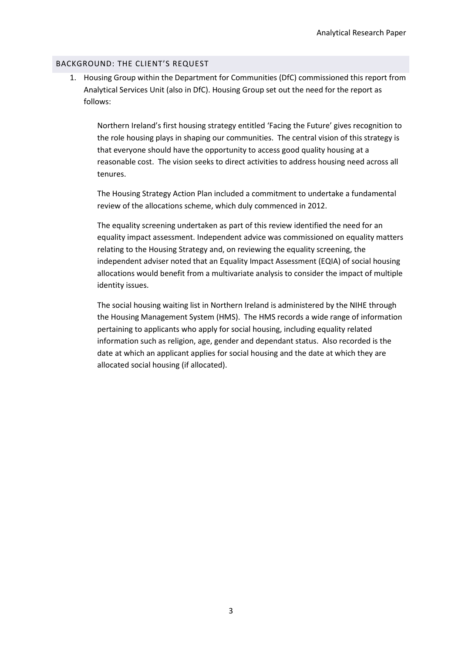#### <span id="page-2-0"></span>BACKGROUND: THE CLIENT'S REQUEST

1. Housing Group within the Department for Communities (DfC) commissioned this report from Analytical Services Unit (also in DfC). Housing Group set out the need for the report as follows:

Northern Ireland's first housing strategy entitled 'Facing the Future' gives recognition to the role housing plays in shaping our communities. The central vision of this strategy is that everyone should have the opportunity to access good quality housing at a reasonable cost. The vision seeks to direct activities to address housing need across all tenures.

The Housing Strategy Action Plan included a commitment to undertake a fundamental review of the allocations scheme, which duly commenced in 2012.

The equality screening undertaken as part of this review identified the need for an equality impact assessment. Independent advice was commissioned on equality matters relating to the Housing Strategy and, on reviewing the equality screening, the independent adviser noted that an Equality Impact Assessment (EQIA) of social housing allocations would benefit from a multivariate analysis to consider the impact of multiple identity issues.

The social housing waiting list in Northern Ireland is administered by the NIHE through the Housing Management System (HMS). The HMS records a wide range of information pertaining to applicants who apply for social housing, including equality related information such as religion, age, gender and dependant status. Also recorded is the date at which an applicant applies for social housing and the date at which they are allocated social housing (if allocated).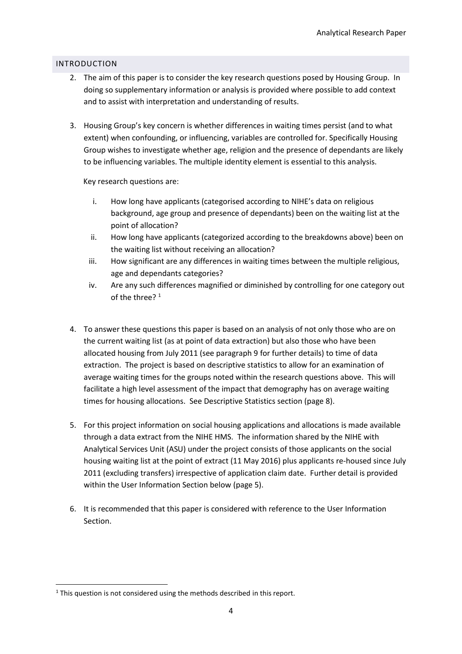# <span id="page-3-0"></span>INTRODUCTION

- 2. The aim of this paper is to consider the key research questions posed by Housing Group. In doing so supplementary information or analysis is provided where possible to add context and to assist with interpretation and understanding of results.
- 3. Housing Group's key concern is whether differences in waiting times persist (and to what extent) when confounding, or influencing, variables are controlled for. Specifically Housing Group wishes to investigate whether age, religion and the presence of dependants are likely to be influencing variables. The multiple identity element is essential to this analysis.

Key research questions are:

- i. How long have applicants (categorised according to NIHE's data on religious background, age group and presence of dependants) been on the waiting list at the point of allocation?
- ii. How long have applicants (categorized according to the breakdowns above) been on the waiting list without receiving an allocation?
- iii. How significant are any differences in waiting times between the multiple religious, age and dependants categories?
- iv. Are any such differences magnified or diminished by controlling for one category out of the three?<sup>1</sup>
- 4. To answer these questions this paper is based on an analysis of not only those who are on the current waiting list (as at point of data extraction) but also those who have been allocated housing from July 2011 (see paragraph 9 for further details) to time of data extraction. The project is based on descriptive statistics to allow for an examination of average waiting times for the groups noted within the research questions above. This will facilitate a high level assessment of the impact that demography has on average waiting times for housing allocations. See Descriptive Statistics section (page 8).
- 5. For this project information on social housing applications and allocations is made available through a data extract from the NIHE HMS. The information shared by the NIHE with Analytical Services Unit (ASU) under the project consists of those applicants on the social housing waiting list at the point of extract (11 May 2016) plus applicants re-housed since July 2011 (excluding transfers) irrespective of application claim date. Further detail is provided within the User Information Section below (page 5).
- 6. It is recommended that this paper is considered with reference to the User Information Section.

**<sup>.</sup>**  $1$  This question is not considered using the methods described in this report.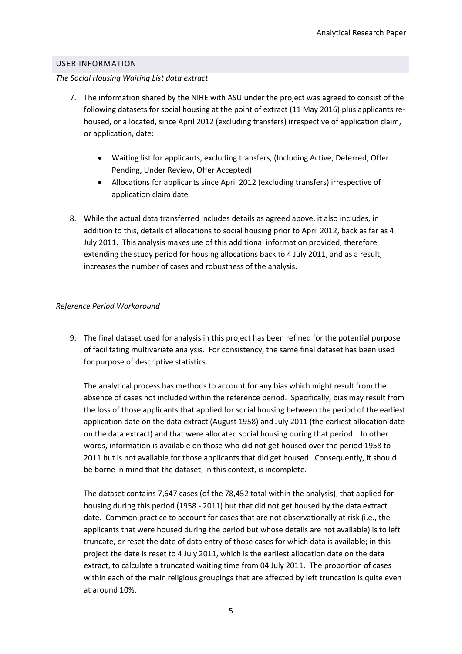#### <span id="page-4-0"></span>USER INFORMATION

#### *The Social Housing Waiting List data extract*

- 7. The information shared by the NIHE with ASU under the project was agreed to consist of the following datasets for social housing at the point of extract (11 May 2016) plus applicants rehoused, or allocated, since April 2012 (excluding transfers) irrespective of application claim, or application, date:
	- Waiting list for applicants, excluding transfers, (Including Active, Deferred, Offer Pending, Under Review, Offer Accepted)
	- Allocations for applicants since April 2012 (excluding transfers) irrespective of application claim date
- 8. While the actual data transferred includes details as agreed above, it also includes, in addition to this, details of allocations to social housing prior to April 2012, back as far as 4 July 2011. This analysis makes use of this additional information provided, therefore extending the study period for housing allocations back to 4 July 2011, and as a result, increases the number of cases and robustness of the analysis.

## *Reference Period Workaround*

9. The final dataset used for analysis in this project has been refined for the potential purpose of facilitating multivariate analysis. For consistency, the same final dataset has been used for purpose of descriptive statistics.

The analytical process has methods to account for any bias which might result from the absence of cases not included within the reference period. Specifically, bias may result from the loss of those applicants that applied for social housing between the period of the earliest application date on the data extract (August 1958) and July 2011 (the earliest allocation date on the data extract) and that were allocated social housing during that period. In other words, information is available on those who did not get housed over the period 1958 to 2011 but is not available for those applicants that did get housed. Consequently, it should be borne in mind that the dataset, in this context, is incomplete.

The dataset contains 7,647 cases (of the 78,452 total within the analysis), that applied for housing during this period (1958 - 2011) but that did not get housed by the data extract date. Common practice to account for cases that are not observationally at risk (i.e., the applicants that were housed during the period but whose details are not available) is to left truncate, or reset the date of data entry of those cases for which data is available; in this project the date is reset to 4 July 2011, which is the earliest allocation date on the data extract, to calculate a truncated waiting time from 04 July 2011. The proportion of cases within each of the main religious groupings that are affected by left truncation is quite even at around 10%.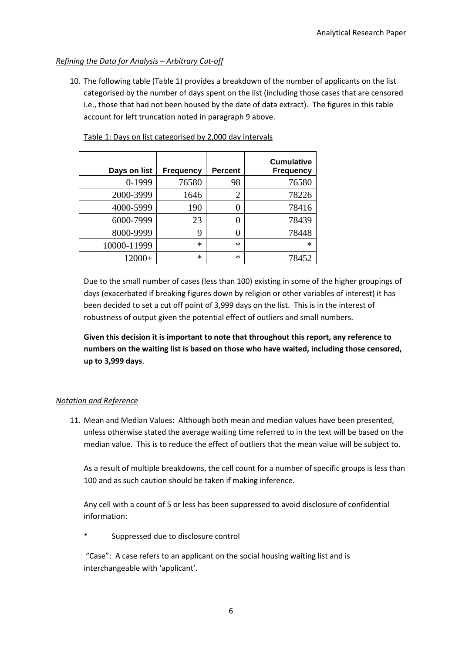# *Refining the Data for Analysis – Arbitrary Cut-off*

10. The following table (Table 1) provides a breakdown of the number of applicants on the list categorised by the number of days spent on the list (including those cases that are censored i.e., those that had not been housed by the date of data extract). The figures in this table account for left truncation noted in paragraph 9 above.

| Days on list | <b>Frequency</b> | <b>Percent</b> | <b>Cumulative</b><br><b>Frequency</b> |
|--------------|------------------|----------------|---------------------------------------|
| 0-1999       | 76580            | 98             | 76580                                 |
| 2000-3999    | 1646             | $\overline{2}$ | 78226                                 |
| 4000-5999    | 190              | 0              | 78416                                 |
| 6000-7999    | 23               | 0              | 78439                                 |
| 8000-9999    | 9                | 0              | 78448                                 |
| 10000-11999  | $\ast$           | $\ast$         | $\ast$                                |
| $12000+$     | ∗                | $\ast$         | 78452                                 |

Table 1: Days on list categorised by 2,000 day intervals

Due to the small number of cases (less than 100) existing in some of the higher groupings of days (exacerbated if breaking figures down by religion or other variables of interest) it has been decided to set a cut off point of 3,999 days on the list. This is in the interest of robustness of output given the potential effect of outliers and small numbers.

**Given this decision it is important to note that throughout this report, any reference to numbers on the waiting list is based on those who have waited, including those censored, up to 3,999 days**.

## *Notation and Reference*

11. Mean and Median Values: Although both mean and median values have been presented, unless otherwise stated the average waiting time referred to in the text will be based on the median value. This is to reduce the effect of outliers that the mean value will be subject to.

As a result of multiple breakdowns, the cell count for a number of specific groups is less than 100 and as such caution should be taken if making inference.

Any cell with a count of 5 or less has been suppressed to avoid disclosure of confidential information:

Suppressed due to disclosure control

"Case": A case refers to an applicant on the social housing waiting list and is interchangeable with 'applicant'.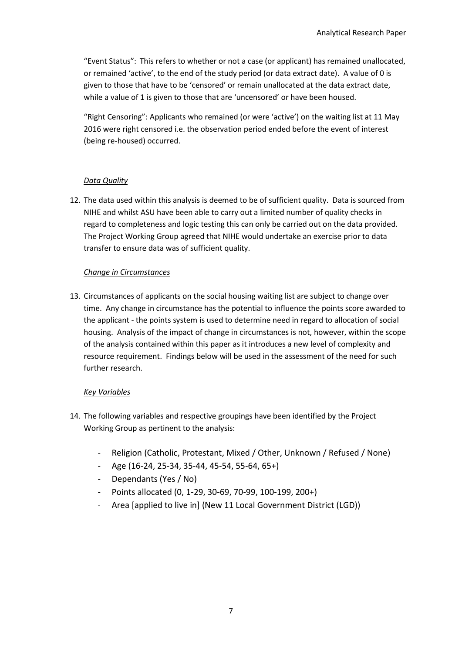"Event Status": This refers to whether or not a case (or applicant) has remained unallocated, or remained 'active', to the end of the study period (or data extract date). A value of 0 is given to those that have to be 'censored' or remain unallocated at the data extract date, while a value of 1 is given to those that are 'uncensored' or have been housed.

"Right Censoring": Applicants who remained (or were 'active') on the waiting list at 11 May 2016 were right censored i.e. the observation period ended before the event of interest (being re-housed) occurred.

## *Data Quality*

12. The data used within this analysis is deemed to be of sufficient quality. Data is sourced from NIHE and whilst ASU have been able to carry out a limited number of quality checks in regard to completeness and logic testing this can only be carried out on the data provided. The Project Working Group agreed that NIHE would undertake an exercise prior to data transfer to ensure data was of sufficient quality.

## *Change in Circumstances*

13. Circumstances of applicants on the social housing waiting list are subject to change over time. Any change in circumstance has the potential to influence the points score awarded to the applicant - the points system is used to determine need in regard to allocation of social housing. Analysis of the impact of change in circumstances is not, however, within the scope of the analysis contained within this paper as it introduces a new level of complexity and resource requirement. Findings below will be used in the assessment of the need for such further research.

## *Key Variables*

- 14. The following variables and respective groupings have been identified by the Project Working Group as pertinent to the analysis:
	- Religion (Catholic, Protestant, Mixed / Other, Unknown / Refused / None)
	- Age (16-24, 25-34, 35-44, 45-54, 55-64, 65+)
	- Dependants (Yes / No)
	- Points allocated (0, 1-29, 30-69, 70-99, 100-199, 200+)
	- Area [applied to live in] (New 11 Local Government District (LGD))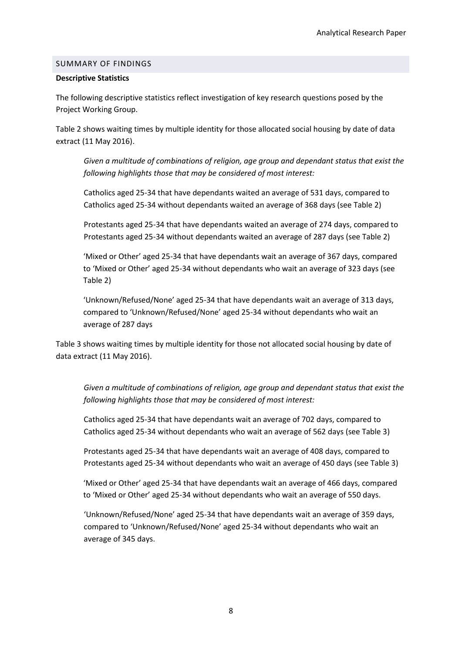#### <span id="page-7-0"></span>SUMMARY OF FINDINGS

#### **Descriptive Statistics**

The following descriptive statistics reflect investigation of key research questions posed by the Project Working Group.

Table 2 shows waiting times by multiple identity for those allocated social housing by date of data extract (11 May 2016).

*Given a multitude of combinations of religion, age group and dependant status that exist the following highlights those that may be considered of most interest:*

Catholics aged 25-34 that have dependants waited an average of 531 days, compared to Catholics aged 25-34 without dependants waited an average of 368 days (see Table 2)

Protestants aged 25-34 that have dependants waited an average of 274 days, compared to Protestants aged 25-34 without dependants waited an average of 287 days (see Table 2)

'Mixed or Other' aged 25-34 that have dependants wait an average of 367 days, compared to 'Mixed or Other' aged 25-34 without dependants who wait an average of 323 days (see Table 2)

'Unknown/Refused/None' aged 25-34 that have dependants wait an average of 313 days, compared to 'Unknown/Refused/None' aged 25-34 without dependants who wait an average of 287 days

Table 3 shows waiting times by multiple identity for those not allocated social housing by date of data extract (11 May 2016).

*Given a multitude of combinations of religion, age group and dependant status that exist the following highlights those that may be considered of most interest:*

Catholics aged 25-34 that have dependants wait an average of 702 days, compared to Catholics aged 25-34 without dependants who wait an average of 562 days (see Table 3)

Protestants aged 25-34 that have dependants wait an average of 408 days, compared to Protestants aged 25-34 without dependants who wait an average of 450 days (see Table 3)

'Mixed or Other' aged 25-34 that have dependants wait an average of 466 days, compared to 'Mixed or Other' aged 25-34 without dependants who wait an average of 550 days.

'Unknown/Refused/None' aged 25-34 that have dependants wait an average of 359 days, compared to 'Unknown/Refused/None' aged 25-34 without dependants who wait an average of 345 days.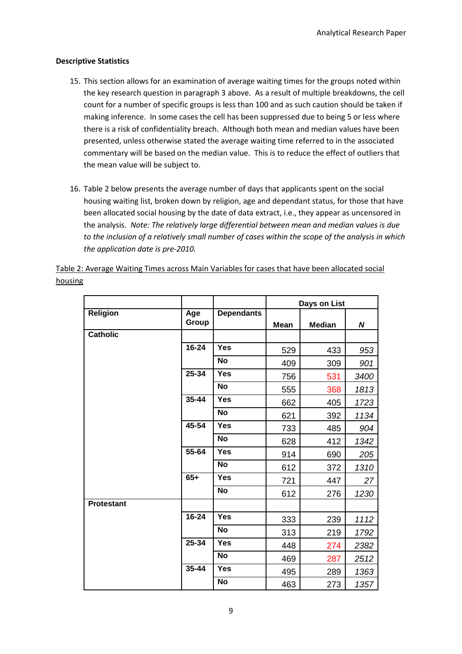## **Descriptive Statistics**

- 15. This section allows for an examination of average waiting times for the groups noted within the key research question in paragraph 3 above. As a result of multiple breakdowns, the cell count for a number of specific groups is less than 100 and as such caution should be taken if making inference. In some cases the cell has been suppressed due to being 5 or less where there is a risk of confidentiality breach. Although both mean and median values have been presented, unless otherwise stated the average waiting time referred to in the associated commentary will be based on the median value. This is to reduce the effect of outliers that the mean value will be subject to.
- 16. Table 2 below presents the average number of days that applicants spent on the social housing waiting list, broken down by religion, age and dependant status, for those that have been allocated social housing by the date of data extract, i.e., they appear as uncensored in the analysis. *Note: The relatively large differential between mean and median values is due to the inclusion of a relatively small number of cases within the scope of the analysis in which the application date is pre-2010.*

|                   |              |                   |             | Days on List  |      |  |  |
|-------------------|--------------|-------------------|-------------|---------------|------|--|--|
| Religion          | Age<br>Group | <b>Dependants</b> | <b>Mean</b> | <b>Median</b> | N    |  |  |
| <b>Catholic</b>   |              |                   |             |               |      |  |  |
|                   | $16 - 24$    | <b>Yes</b>        | 529         | 433           | 953  |  |  |
|                   |              | <b>No</b>         | 409         | 309           | 901  |  |  |
|                   | $25 - 34$    | <b>Yes</b>        | 756         | 531           | 3400 |  |  |
|                   |              | <b>No</b>         | 555         | 368           | 1813 |  |  |
|                   | $35 - 44$    | <b>Yes</b>        | 662         | 405           | 1723 |  |  |
|                   |              | <b>No</b>         | 621         | 392           | 1134 |  |  |
|                   | 45-54        | <b>Yes</b>        | 733         | 485           | 904  |  |  |
|                   |              | <b>No</b>         | 628         | 412           | 1342 |  |  |
|                   | 55-64        | <b>Yes</b>        | 914         | 690           | 205  |  |  |
|                   |              | <b>No</b>         | 612         | 372           | 1310 |  |  |
|                   | $65+$        | <b>Yes</b>        | 721         | 447           | 27   |  |  |
|                   |              | <b>No</b>         | 612         | 276           | 1230 |  |  |
| <b>Protestant</b> |              |                   |             |               |      |  |  |
|                   | $16 - 24$    | <b>Yes</b>        | 333         | 239           | 1112 |  |  |
|                   |              | <b>No</b>         | 313         | 219           | 1792 |  |  |
|                   | 25-34        | <b>Yes</b>        | 448         | 274           | 2382 |  |  |
|                   |              | <b>No</b>         | 469         | 287           | 2512 |  |  |
|                   | 35-44        | <b>Yes</b>        | 495         | 289           | 1363 |  |  |

Table 2: Average Waiting Times across Main Variables for cases that have been allocated social housing

**No** 463 273 *1357*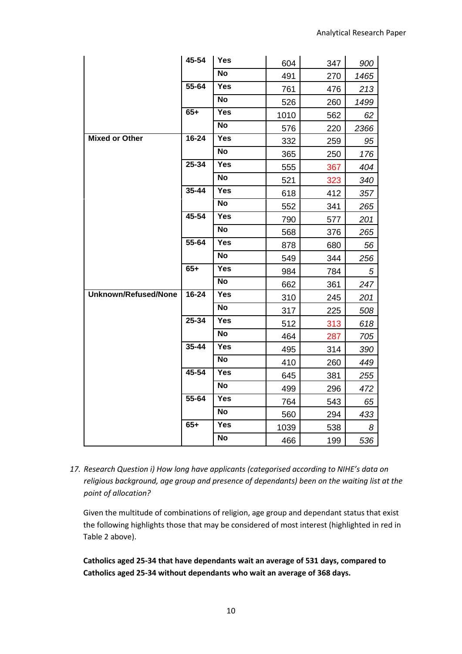|                             | 45-54     | Yes               | 604  | 347 | 900        |
|-----------------------------|-----------|-------------------|------|-----|------------|
|                             |           | <b>No</b>         | 491  | 270 | 1465       |
|                             | 55-64     | Yes               | 761  | 476 | 213        |
|                             |           | <b>No</b>         | 526  | 260 | 1499       |
|                             | $65+$     | <b>Yes</b>        | 1010 | 562 | 62         |
|                             |           | <b>No</b>         | 576  | 220 | 2366       |
| <b>Mixed or Other</b>       | 16-24     | <b>Yes</b>        | 332  | 259 | 95         |
|                             |           | <b>No</b>         | 365  | 250 | 176        |
|                             | 25-34     | Yes               | 555  | 367 | 404        |
|                             |           | <b>No</b>         | 521  | 323 | 340        |
|                             | 35-44     | Yes               | 618  | 412 | 357        |
|                             |           | <b>No</b>         | 552  | 341 | 265        |
|                             | 45-54     | Yes               | 790  | 577 | 201        |
|                             |           | No                | 568  | 376 | 265        |
|                             | 55-64     | Yes               | 878  | 680 | 56         |
|                             |           | No                | 549  | 344 | 256        |
|                             | $65+$     | <b>Yes</b>        | 984  | 784 | $\sqrt{5}$ |
|                             |           | <b>No</b>         | 662  | 361 | 247        |
| <b>Unknown/Refused/None</b> | $16 - 24$ | <b>Yes</b>        | 310  | 245 | 201        |
|                             |           | <b>No</b>         | 317  | 225 | 508        |
|                             | $25 - 34$ | $\overline{Y}$ es | 512  | 313 | 618        |
|                             |           | <b>No</b>         | 464  | 287 | 705        |
|                             | $35 - 44$ | <b>Yes</b>        | 495  | 314 | 390        |
|                             |           | <b>No</b>         | 410  | 260 | 449        |
|                             | $45 - 54$ | <b>Yes</b>        | 645  | 381 | 255        |
|                             |           | <b>No</b>         | 499  | 296 | 472        |
|                             | 55-64     | <b>Yes</b>        | 764  | 543 | 65         |
|                             |           | <b>No</b>         | 560  | 294 | 433        |
|                             | $65+$     | Yes               | 1039 | 538 | 8          |
|                             |           | No                | 466  | 199 | 536        |

*17. Research Question i) How long have applicants (categorised according to NIHE's data on religious background, age group and presence of dependants) been on the waiting list at the point of allocation?* 

Given the multitude of combinations of religion, age group and dependant status that exist the following highlights those that may be considered of most interest (highlighted in red in Table 2 above).

**Catholics aged 25-34 that have dependants wait an average of 531 days, compared to Catholics aged 25-34 without dependants who wait an average of 368 days.**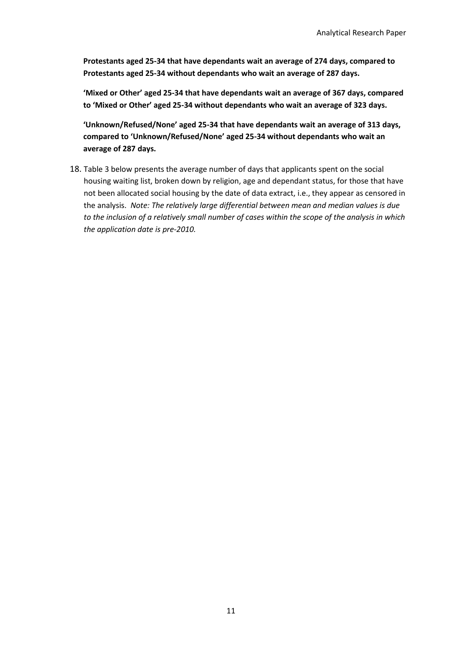**Protestants aged 25-34 that have dependants wait an average of 274 days, compared to Protestants aged 25-34 without dependants who wait an average of 287 days.**

**'Mixed or Other' aged 25-34 that have dependants wait an average of 367 days, compared to 'Mixed or Other' aged 25-34 without dependants who wait an average of 323 days.**

**'Unknown/Refused/None' aged 25-34 that have dependants wait an average of 313 days, compared to 'Unknown/Refused/None' aged 25-34 without dependants who wait an average of 287 days.**

18. Table 3 below presents the average number of days that applicants spent on the social housing waiting list, broken down by religion, age and dependant status, for those that have not been allocated social housing by the date of data extract, i.e., they appear as censored in the analysis. *Note: The relatively large differential between mean and median values is due to the inclusion of a relatively small number of cases within the scope of the analysis in which the application date is pre-2010.*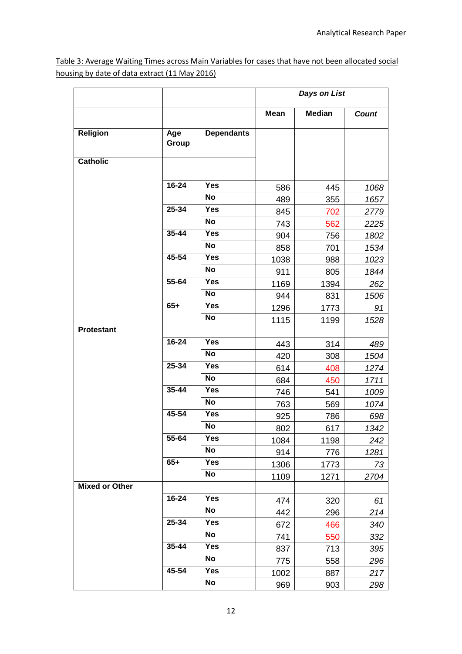Table 3: Average Waiting Times across Main Variables for cases that have not been allocated social housing by date of data extract (11 May 2016)

|                       |              |                   | <b>Days on List</b> |               |              |
|-----------------------|--------------|-------------------|---------------------|---------------|--------------|
|                       |              |                   | <b>Mean</b>         | <b>Median</b> | <b>Count</b> |
| Religion              | Age<br>Group | <b>Dependants</b> |                     |               |              |
| <b>Catholic</b>       |              |                   |                     |               |              |
|                       |              |                   |                     |               |              |
|                       | $16 - 24$    | <b>Yes</b>        | 586                 | 445           | 1068         |
|                       |              | <b>No</b>         | 489                 | 355           | 1657         |
|                       | 25-34        | <b>Yes</b>        | 845                 | 702           | 2779         |
|                       |              | <b>No</b>         | 743                 | 562           | 2225         |
|                       | 35-44        | <b>Yes</b>        | 904                 | 756           | 1802         |
|                       |              | <b>No</b>         | 858                 | 701           | 1534         |
|                       | 45-54        | <b>Yes</b>        | 1038                | 988           | 1023         |
|                       |              | <b>No</b>         | 911                 | 805           | 1844         |
|                       | 55-64        | <b>Yes</b>        | 1169                | 1394          | 262          |
|                       |              | <b>No</b>         | 944                 | 831           | 1506         |
|                       | $65+$        | <b>Yes</b>        | 1296                | 1773          | 91           |
|                       |              | <b>No</b>         | 1115                | 1199          | 1528         |
| <b>Protestant</b>     |              |                   |                     |               |              |
|                       | 16-24        | <b>Yes</b>        | 443                 | 314           | 489          |
|                       |              | <b>No</b>         | 420                 | 308           | 1504         |
|                       | 25-34        | <b>Yes</b>        | 614                 | 408           | 1274         |
|                       |              | <b>No</b>         | 684                 | 450           | 1711         |
|                       | $35 - 44$    | <b>Yes</b>        | 746                 | 541           | 1009         |
|                       |              | <b>No</b>         | 763                 | 569           | 1074         |
|                       | 45-54        | Yes               | 925                 | 786           | 698          |
|                       |              | <b>No</b>         | 802                 | 617           | 1342         |
|                       | 55-64        | Yes               | 1084                | 1198          | 242          |
|                       |              | No                | 914                 | 776           | 1281         |
|                       | $65+$        | Yes               | 1306                | 1773          | 73           |
|                       |              | No                | 1109                | 1271          | 2704         |
| <b>Mixed or Other</b> |              |                   |                     |               |              |
|                       | 16-24        | Yes               | 474                 | 320           | 61           |
|                       |              | No                | 442                 | 296           | 214          |
|                       | 25-34        | Yes               | 672                 | 466           | 340          |
|                       |              | No                | 741                 | 550           | 332          |
|                       | 35-44        | <b>Yes</b>        | 837                 | 713           | 395          |
|                       |              | No                | 775                 | 558           | 296          |
|                       | 45-54        | Yes               | 1002                | 887           | 217          |
|                       |              | No                | 969                 | 903           | 298          |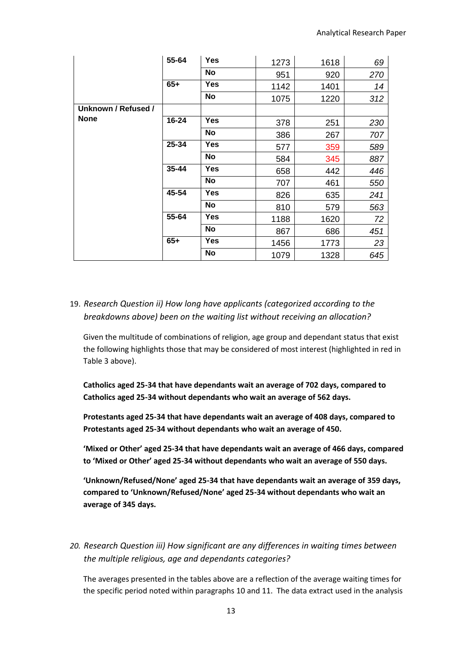|                     | 55-64     | <b>Yes</b> | 1273 | 1618 | 69  |
|---------------------|-----------|------------|------|------|-----|
|                     |           | No         | 951  | 920  | 270 |
|                     | $65+$     | Yes        | 1142 | 1401 | 14  |
|                     |           | No         | 1075 | 1220 | 312 |
| Unknown / Refused / |           |            |      |      |     |
| <b>None</b>         | 16-24     | <b>Yes</b> | 378  | 251  | 230 |
|                     |           | No         | 386  | 267  | 707 |
|                     | 25-34     | <b>Yes</b> | 577  | 359  | 589 |
|                     |           | No         | 584  | 345  | 887 |
|                     | $35 - 44$ | <b>Yes</b> | 658  | 442  | 446 |
|                     |           | <b>No</b>  | 707  | 461  | 550 |
|                     | 45-54     | <b>Yes</b> | 826  | 635  | 241 |
|                     |           | <b>No</b>  | 810  | 579  | 563 |
|                     | 55-64     | Yes        | 1188 | 1620 | 72  |
|                     |           | No         | 867  | 686  | 451 |
|                     | $65+$     | <b>Yes</b> | 1456 | 1773 | 23  |
|                     |           | <b>No</b>  | 1079 | 1328 | 645 |

# 19. *Research Question ii) How long have applicants (categorized according to the breakdowns above) been on the waiting list without receiving an allocation?*

Given the multitude of combinations of religion, age group and dependant status that exist the following highlights those that may be considered of most interest (highlighted in red in Table 3 above).

**Catholics aged 25-34 that have dependants wait an average of 702 days, compared to Catholics aged 25-34 without dependants who wait an average of 562 days.**

**Protestants aged 25-34 that have dependants wait an average of 408 days, compared to Protestants aged 25-34 without dependants who wait an average of 450.**

**'Mixed or Other' aged 25-34 that have dependants wait an average of 466 days, compared to 'Mixed or Other' aged 25-34 without dependants who wait an average of 550 days.**

**'Unknown/Refused/None' aged 25-34 that have dependants wait an average of 359 days, compared to 'Unknown/Refused/None' aged 25-34 without dependants who wait an average of 345 days.**

# *20. Research Question iii) How significant are any differences in waiting times between the multiple religious, age and dependants categories?*

The averages presented in the tables above are a reflection of the average waiting times for the specific period noted within paragraphs 10 and 11. The data extract used in the analysis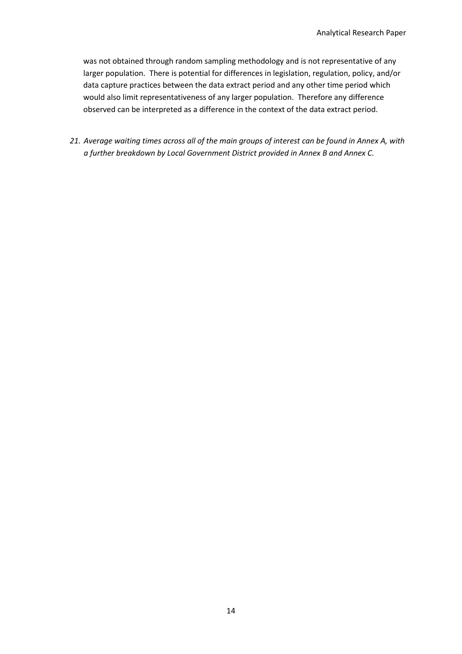was not obtained through random sampling methodology and is not representative of any larger population. There is potential for differences in legislation, regulation, policy, and/or data capture practices between the data extract period and any other time period which would also limit representativeness of any larger population. Therefore any difference observed can be interpreted as a difference in the context of the data extract period.

*21. Average waiting times across all of the main groups of interest can be found in Annex A, with a further breakdown by Local Government District provided in Annex B and Annex C.*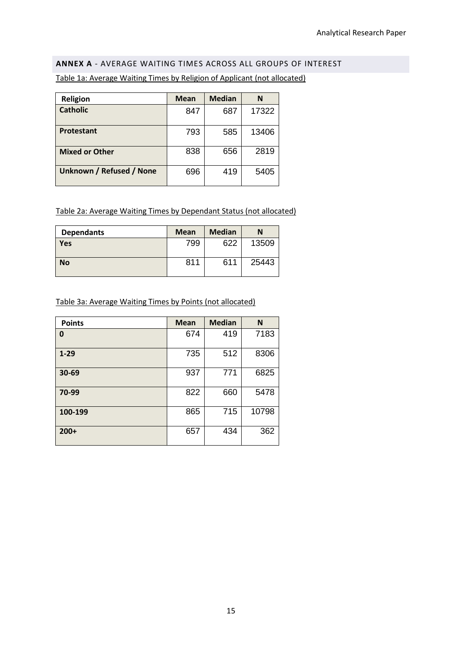#### <span id="page-14-0"></span>**ANNEX A** - AVERAGE WAITING TIMES ACROSS ALL GROUPS OF INTEREST

| <b>Religion</b>                 | <b>Mean</b> | <b>Median</b> | N     |
|---------------------------------|-------------|---------------|-------|
| <b>Catholic</b>                 | 847         | 687           | 17322 |
| Protestant                      | 793         | 585           | 13406 |
| <b>Mixed or Other</b>           | 838         | 656           | 2819  |
| <b>Unknown / Refused / None</b> | 696         | 419           | 5405  |

Table 1a: Average Waiting Times by Religion of Applicant (not allocated)

Table 2a: Average Waiting Times by Dependant Status (not allocated)

| <b>Dependants</b> | <b>Mean</b> | <b>Median</b> | N     |
|-------------------|-------------|---------------|-------|
| Yes               | 799         | 622           | 13509 |
| <b>No</b>         | 811         | 611           | 25443 |

Table 3a: Average Waiting Times by Points (not allocated)

| <b>Points</b> | <b>Mean</b> | <b>Median</b> | N     |
|---------------|-------------|---------------|-------|
| 0             | 674         | 419           | 7183  |
| $1 - 29$      | 735         | 512           | 8306  |
| 30-69         | 937         | 771           | 6825  |
| 70-99         | 822         | 660           | 5478  |
| 100-199       | 865         | 715           | 10798 |
| $200+$        | 657         | 434           | 362   |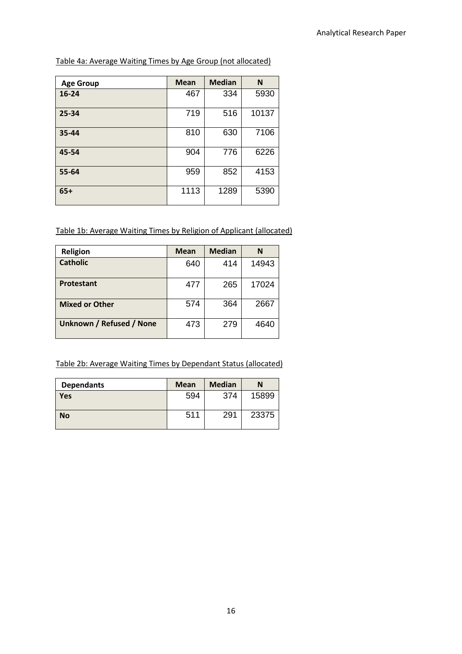Table 4a: Average Waiting Times by Age Group (not allocated)

| <b>Age Group</b> | <b>Mean</b> | <b>Median</b> | N     |
|------------------|-------------|---------------|-------|
| $16 - 24$        | 467         | 334           | 5930  |
| 25-34            | 719         | 516           | 10137 |
| 35-44            | 810         | 630           | 7106  |
| 45-54            | 904         | 776           | 6226  |
| 55-64            | 959         | 852           | 4153  |
| $65+$            | 1113        | 1289          | 5390  |

Table 1b: Average Waiting Times by Religion of Applicant (allocated)

| <b>Religion</b>          | <b>Mean</b> | <b>Median</b> | N     |
|--------------------------|-------------|---------------|-------|
| <b>Catholic</b>          | 640         | 414           | 14943 |
| Protestant               | 477         | 265           | 17024 |
| <b>Mixed or Other</b>    | 574         | 364           | 2667  |
| Unknown / Refused / None | 473         | 279           | 4640  |

Table 2b: Average Waiting Times by Dependant Status (allocated)

| <b>Dependants</b> | <b>Mean</b> | <b>Median</b> | N     |
|-------------------|-------------|---------------|-------|
| Yes               | 594         | 374           | 15899 |
| <b>No</b>         | 511         | 291           | 23375 |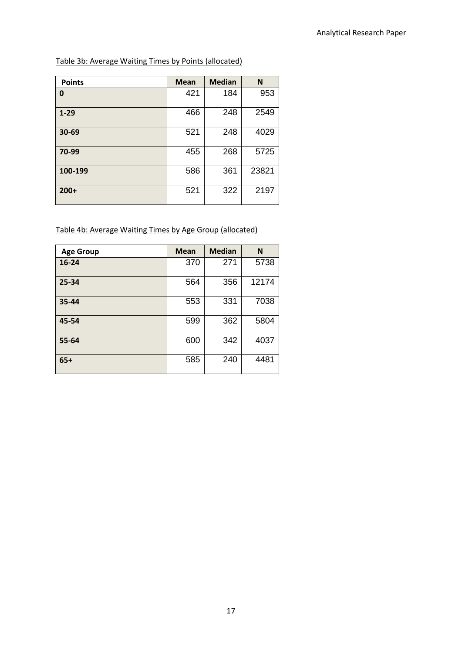Table 3b: Average Waiting Times by Points (allocated)

| <b>Points</b> | <b>Mean</b> | <b>Median</b> | N     |
|---------------|-------------|---------------|-------|
| 0             | 421         | 184           | 953   |
| $1 - 29$      | 466         | 248           | 2549  |
| 30-69         | 521         | 248           | 4029  |
| 70-99         | 455         | 268           | 5725  |
| 100-199       | 586         | 361           | 23821 |
| $200+$        | 521         | 322           | 2197  |

Table 4b: Average Waiting Times by Age Group (allocated)

| <b>Age Group</b> | <b>Mean</b> | <b>Median</b> | N     |
|------------------|-------------|---------------|-------|
| $16 - 24$        | 370         | 271           | 5738  |
| 25-34            | 564         | 356           | 12174 |
| 35-44            | 553         | 331           | 7038  |
| 45-54            | 599         | 362           | 5804  |
| 55-64            | 600         | 342           | 4037  |
| $65+$            | 585         | 240           | 4481  |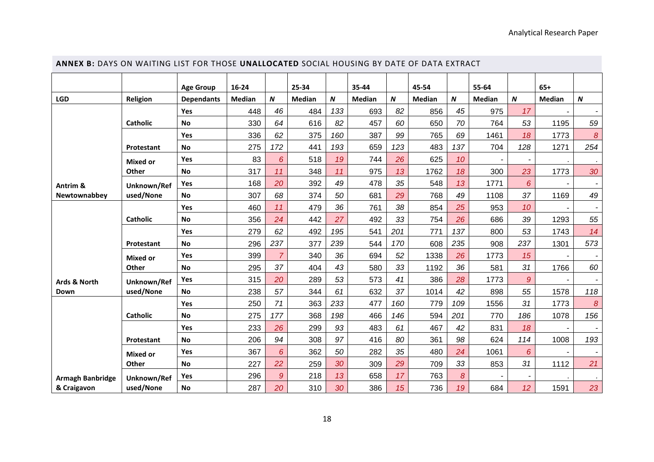<span id="page-17-0"></span>

| ANNEX B: DAYS ON WAITING LIST FOR THOSE UNALLOCATED SOCIAL HOUSING BY DATE OF DATA EXTRACT |                 |                   |               |                |               |     |        |                  |               |          |        |                 |        |                  |
|--------------------------------------------------------------------------------------------|-----------------|-------------------|---------------|----------------|---------------|-----|--------|------------------|---------------|----------|--------|-----------------|--------|------------------|
|                                                                                            |                 | <b>Age Group</b>  | $16 - 24$     |                | 25-34         |     | 35-44  |                  | 45-54         |          | 55-64  |                 | $65+$  |                  |
| <b>LGD</b>                                                                                 | Religion        | <b>Dependants</b> | <b>Median</b> | N              | <b>Median</b> | N   | Median | $\boldsymbol{N}$ | <b>Median</b> | $\pmb N$ | Median | $\pmb N$        | Median | $\pmb N$         |
|                                                                                            |                 | <b>Yes</b>        | 448           | 46             | 484           | 133 | 693    | 82               | 856           | 45       | 975    | 17              |        |                  |
|                                                                                            | <b>Catholic</b> | <b>No</b>         | 330           | 64             | 616           | 82  | 457    | 60               | 650           | 70       | 764    | 53              | 1195   | 59               |
|                                                                                            |                 | Yes               | 336           | 62             | 375           | 160 | 387    | 99               | 765           | 69       | 1461   | 18              | 1773   | $\boldsymbol{8}$ |
|                                                                                            | Protestant      | No                | 275           | 172            | 441           | 193 | 659    | 123              | 483           | 137      | 704    | 128             | 1271   | 254              |
|                                                                                            | <b>Mixed or</b> | Yes               | 83            | 6              | 518           | 19  | 744    | 26               | 625           | 10       |        |                 |        |                  |
|                                                                                            | Other           | <b>No</b>         | 317           | 11             | 348           | 11  | 975    | 13               | 1762          | 18       | 300    | 23              | 1773   | 30               |
| Antrim &                                                                                   | Unknown/Ref     | Yes               | 168           | 20             | 392           | 49  | 478    | 35               | 548           | 13       | 1771   | 6               |        |                  |
| Newtownabbey                                                                               | used/None       | <b>No</b>         | 307           | 68             | 374           | 50  | 681    | 29               | 768           | 49       | 1108   | 37              | 1169   | 49               |
|                                                                                            |                 | Yes               | 460           | 11             | 479           | 36  | 761    | 38               | 854           | 25       | 953    | 10              |        |                  |
|                                                                                            | <b>Catholic</b> | <b>No</b>         | 356           | 24             | 442           | 27  | 492    | 33               | 754           | 26       | 686    | 39              | 1293   | 55               |
|                                                                                            |                 | Yes               | 279           | 62             | 492           | 195 | 541    | 201              | 771           | 137      | 800    | 53              | 1743   | 14               |
|                                                                                            | Protestant      | <b>No</b>         | 296           | 237            | 377           | 239 | 544    | 170              | 608           | 235      | 908    | 237             | 1301   | 573              |
|                                                                                            | <b>Mixed or</b> | Yes               | 399           | $\overline{7}$ | 340           | 36  | 694    | 52               | 1338          | 26       | 1773   | 15              |        |                  |
|                                                                                            | Other           | <b>No</b>         | 295           | 37             | 404           | 43  | 580    | 33               | 1192          | 36       | 581    | 31              | 1766   | 60               |
| Ards & North                                                                               | Unknown/Ref     | Yes               | 315           | 20             | 289           | 53  | 573    | 41               | 386           | 28       | 1773   | 9               |        |                  |
| Down                                                                                       | used/None       | <b>No</b>         | 238           | 57             | 344           | 61  | 632    | 37               | 1014          | 42       | 898    | 55              | 1578   | 118              |
|                                                                                            |                 | Yes               | 250           | 71             | 363           | 233 | 477    | 160              | 779           | 109      | 1556   | 31              | 1773   | 8                |
|                                                                                            | <b>Catholic</b> | <b>No</b>         | 275           | 177            | 368           | 198 | 466    | 146              | 594           | 201      | 770    | 186             | 1078   | 156              |
|                                                                                            |                 | Yes               | 233           | 26             | 299           | 93  | 483    | 61               | 467           | 42       | 831    | 18              |        |                  |
|                                                                                            | Protestant      | <b>No</b>         | 206           | 94             | 308           | 97  | 416    | 80               | 361           | 98       | 624    | 114             | 1008   | 193              |
|                                                                                            | <b>Mixed or</b> | Yes               | 367           | 6              | 362           | 50  | 282    | 35               | 480           | 24       | 1061   | 6               |        |                  |
|                                                                                            | Other           | <b>No</b>         | 227           | 22             | 259           | 30  | 309    | 29               | 709           | 33       | 853    | 31              | 1112   | 21               |
| <b>Armagh Banbridge</b>                                                                    | Unknown/Ref     | Yes               | 296           | $\mathcal{G}$  | 218           | 13  | 658    | 17               | 763           | 8        |        |                 |        |                  |
| & Craigavon                                                                                | used/None       | <b>No</b>         | 287           | 20             | 310           | 30  | 386    | 15               | 736           | 19       | 684    | 12 <sup>°</sup> | 1591   | 23               |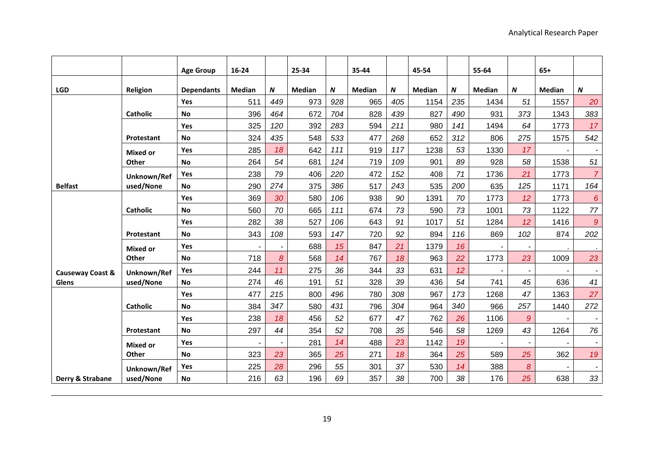|                  |                 | <b>Age Group</b>  | 16-24         |     | 25-34  |     | 35-44         |     | 45-54         |     | 55-64         |                           | $65+$         |                          |
|------------------|-----------------|-------------------|---------------|-----|--------|-----|---------------|-----|---------------|-----|---------------|---------------------------|---------------|--------------------------|
| <b>LGD</b>       | Religion        | <b>Dependants</b> | <b>Median</b> | N   | Median | N   | <b>Median</b> | N   | <b>Median</b> | N   | <b>Median</b> | $\boldsymbol{\mathsf{N}}$ | <b>Median</b> | $\boldsymbol{N}$         |
|                  |                 | Yes               | 511           | 449 | 973    | 928 | 965           | 405 | 1154          | 235 | 1434          | 51                        | 1557          | 20                       |
|                  | <b>Catholic</b> | <b>No</b>         | 396           | 464 | 672    | 704 | 828           | 439 | 827           | 490 | 931           | 373                       | 1343          | 383                      |
|                  |                 | Yes               | 325           | 120 | 392    | 283 | 594           | 211 | 980           | 141 | 1494          | 64                        | 1773          | 17                       |
|                  | Protestant      | <b>No</b>         | 324           | 435 | 548    | 533 | 477           | 268 | 652           | 312 | 806           | 275                       | 1575          | 542                      |
|                  | <b>Mixed or</b> | <b>Yes</b>        | 285           | 18  | 642    | 111 | 919           | 117 | 1238          | 53  | 1330          | 17                        |               |                          |
|                  | Other           | <b>No</b>         | 264           | 54  | 681    | 124 | 719           | 109 | 901           | 89  | 928           | 58                        | 1538          | 51                       |
|                  | Unknown/Ref     | <b>Yes</b>        | 238           | 79  | 406    | 220 | 472           | 152 | 408           | 71  | 1736          | 21                        | 1773          | $\overline{7}$           |
| <b>Belfast</b>   | used/None       | <b>No</b>         | 290           | 274 | 375    | 386 | 517           | 243 | 535           | 200 | 635           | 125                       | 1171          | 164                      |
|                  |                 | Yes               | 369           | 30  | 580    | 106 | 938           | 90  | 1391          | 70  | 1773          | 12                        | 1773          | $6\overline{6}$          |
|                  | <b>Catholic</b> | <b>No</b>         | 560           | 70  | 665    | 111 | 674           | 73  | 590           | 73  | 1001          | 73                        | 1122          | 77                       |
|                  |                 | Yes               | 282           | 38  | 527    | 106 | 643           | 91  | 1017          | 51  | 1284          | 12                        | 1416          | $\mathcal{Q}$            |
|                  | Protestant      | <b>No</b>         | 343           | 108 | 593    | 147 | 720           | 92  | 894           | 116 | 869           | 102                       | 874           | 202                      |
|                  | <b>Mixed or</b> | Yes               |               |     | 688    | 15  | 847           | 21  | 1379          | 16  |               |                           |               |                          |
|                  | Other           | <b>No</b>         | 718           | 8   | 568    | 14  | 767           | 18  | 963           | 22  | 1773          | 23                        | 1009          | 23                       |
| Causeway Coast & | Unknown/Ref     | <b>Yes</b>        | 244           | 11  | 275    | 36  | 344           | 33  | 631           | 12  |               |                           |               |                          |
| <b>Glens</b>     | used/None       | <b>No</b>         | 274           | 46  | 191    | 51  | 328           | 39  | 436           | 54  | 741           | 45                        | 636           | 41                       |
|                  |                 | Yes               | 477           | 215 | 800    | 496 | 780           | 308 | 967           | 173 | 1268          | 47                        | 1363          | 27                       |
|                  | <b>Catholic</b> | <b>No</b>         | 384           | 347 | 580    | 431 | 796           | 304 | 964           | 340 | 966           | 257                       | 1440          | 272                      |
|                  |                 | <b>Yes</b>        | 238           | 18  | 456    | 52  | 677           | 47  | 762           | 26  | 1106          | $\overline{9}$            |               |                          |
|                  | Protestant      | <b>No</b>         | 297           | 44  | 354    | 52  | 708           | 35  | 546           | 58  | 1269          | 43                        | 1264          | 76                       |
|                  | <b>Mixed or</b> | Yes               |               |     | 281    | 14  | 488           | 23  | 1142          | 19  |               |                           |               |                          |
|                  | Other           | No                | 323           | 23  | 365    | 25  | 271           | 18  | 364           | 25  | 589           | 25                        | 362           | 19                       |
|                  | Unknown/Ref     | Yes               | 225           | 28  | 296    | 55  | 301           | 37  | 530           | 14  | 388           | $\boldsymbol{8}$          |               | $\overline{\phantom{a}}$ |
| Derry & Strabane | used/None       | <b>No</b>         | 216           | 63  | 196    | 69  | 357           | 38  | 700           | 38  | 176           | 25                        | 638           | 33                       |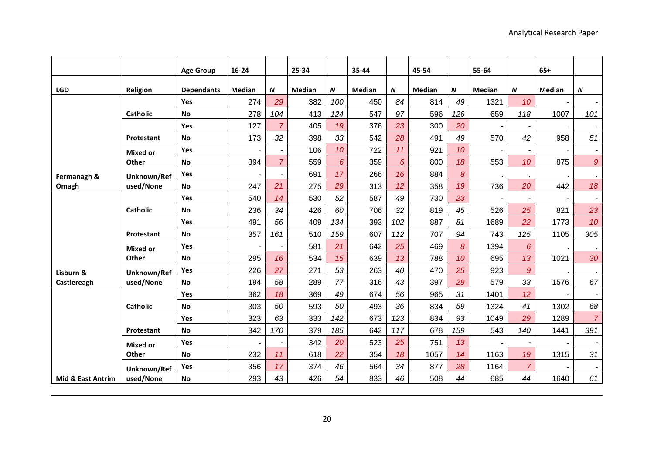|                              |                 | <b>Age Group</b>  | 16-24          |                | 25-34         |                 | 35-44         |     | 45-54         |                  | 55-64          |                          | $65+$         |                          |
|------------------------------|-----------------|-------------------|----------------|----------------|---------------|-----------------|---------------|-----|---------------|------------------|----------------|--------------------------|---------------|--------------------------|
| <b>LGD</b>                   | Religion        | <b>Dependants</b> | <b>Median</b>  | N              | <b>Median</b> | N               | <b>Median</b> | N   | <b>Median</b> | $\boldsymbol{N}$ | <b>Median</b>  | N                        | <b>Median</b> | N                        |
|                              |                 | Yes               | 274            | 29             | 382           | 100             | 450           | 84  | 814           | 49               | 1321           | 10                       |               | $\sim$                   |
|                              | <b>Catholic</b> | <b>No</b>         | 278            | 104            | 413           | 124             | 547           | 97  | 596           | 126              | 659            | 118                      | 1007          | 101                      |
|                              |                 | Yes               | 127            | $\overline{7}$ | 405           | 19              | 376           | 23  | 300           | 20               |                |                          |               |                          |
|                              | Protestant      | <b>No</b>         | 173            | 32             | 398           | 33              | 542           | 28  | 491           | 49               | 570            | 42                       | 958           | 51                       |
|                              | <b>Mixed or</b> | Yes               | $\blacksquare$ |                | 106           | 10 <sup>1</sup> | 722           | 11  | 921           | 10               |                | $\overline{\phantom{a}}$ |               | $\sim$                   |
|                              | Other           | <b>No</b>         | 394            | $\overline{7}$ | 559           | $6\overline{6}$ | 359           | 6   | 800           | 18               | 553            | 10                       | 875           | $\mathfrak{g}$           |
| Fermanagh &                  | Unknown/Ref     | Yes               |                |                | 691           | 17              | 266           | 16  | 884           | $\delta$         |                |                          |               | $\sim$                   |
| Omagh                        | used/None       | <b>No</b>         | 247            | 21             | 275           | 29              | 313           | 12  | 358           | 19               | 736            | 20                       | 442           | 18                       |
|                              |                 | Yes               | 540            | 14             | 530           | 52              | 587           | 49  | 730           | 23               | $\blacksquare$ |                          |               | $\overline{\phantom{a}}$ |
|                              | <b>Catholic</b> | <b>No</b>         | 236            | 34             | 426           | 60              | 706           | 32  | 819           | 45               | 526            | 25                       | 821           | 23                       |
|                              |                 | Yes               | 491            | 56             | 409           | 134             | 393           | 102 | 887           | 81               | 1689           | 22                       | 1773          | 10                       |
|                              | Protestant      | <b>No</b>         | 357            | 161            | 510           | 159             | 607           | 112 | 707           | 94               | 743            | 125                      | 1105          | 305                      |
|                              | <b>Mixed or</b> | Yes               |                |                | 581           | 21              | 642           | 25  | 469           | 8                | 1394           | 6                        |               |                          |
|                              | Other           | <b>No</b>         | 295            | 16             | 534           | 15              | 639           | 13  | 788           | 10               | 695            | 13                       | 1021          | 30                       |
| Lisburn &                    | Unknown/Ref     | <b>Yes</b>        | 226            | 27             | 271           | 53              | 263           | 40  | 470           | 25               | 923            | $\overline{9}$           |               | $\mathbf{r}$             |
| Castlereagh                  | used/None       | <b>No</b>         | 194            | 58             | 289           | 77              | 316           | 43  | 397           | 29               | 579            | 33                       | 1576          | 67                       |
|                              |                 | Yes               | 362            | 18             | 369           | 49              | 674           | 56  | 965           | 31               | 1401           | 12                       |               |                          |
|                              | <b>Catholic</b> | <b>No</b>         | 303            | 50             | 593           | 50              | 493           | 36  | 834           | 59               | 1324           | 41                       | 1302          | 68                       |
|                              |                 | <b>Yes</b>        | 323            | 63             | 333           | 142             | 673           | 123 | 834           | 93               | 1049           | 29                       | 1289          | $\overline{7}$           |
|                              | Protestant      | <b>No</b>         | 342            | 170            | 379           | 185             | 642           | 117 | 678           | 159              | 543            | 140                      | 1441          | 391                      |
|                              | <b>Mixed or</b> | <b>Yes</b>        |                |                | 342           | 20              | 523           | 25  | 751           | 13               |                |                          |               |                          |
|                              | Other           | <b>No</b>         | 232            | 11             | 618           | 22              | 354           | 18  | 1057          | 14               | 1163           | 19                       | 1315          | 31                       |
|                              | Unknown/Ref     | Yes               | 356            | 17             | 374           | 46              | 564           | 34  | 877           | 28               | 1164           | $\overline{7}$           |               |                          |
| <b>Mid &amp; East Antrim</b> | used/None       | <b>No</b>         | 293            | 43             | 426           | 54              | 833           | 46  | 508           | 44               | 685            | 44                       | 1640          | 61                       |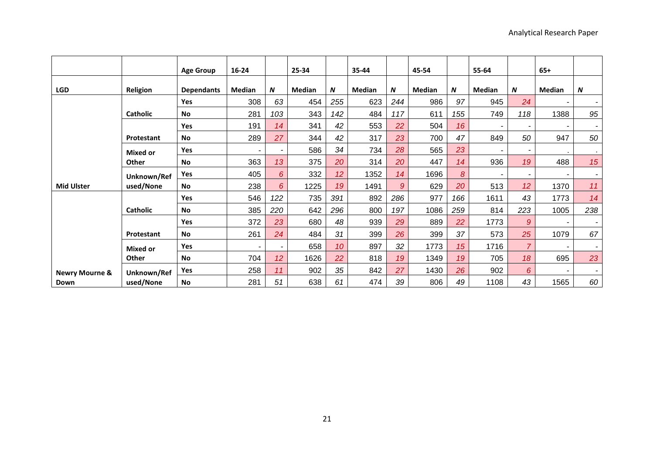|                           |                 | <b>Age Group</b>  | $16 - 24$      |                 | 25-34         |                 | 35-44  |                  | 45-54  |                  | 55-64  |                 | $65+$  |        |
|---------------------------|-----------------|-------------------|----------------|-----------------|---------------|-----------------|--------|------------------|--------|------------------|--------|-----------------|--------|--------|
| <b>LGD</b>                | Religion        | <b>Dependants</b> | Median         | N               | <b>Median</b> | N               | Median | $\boldsymbol{N}$ | Median | $\boldsymbol{N}$ | Median | N               | Median | N      |
|                           |                 | Yes               | 308            | 63              | 454           | 255             | 623    | 244              | 986    | 97               | 945    | 24              |        |        |
|                           | Catholic        | <b>No</b>         | 281            | 103             | 343           | 142             | 484    | 117              | 611    | 155              | 749    | 118             | 1388   | 95     |
|                           |                 | <b>Yes</b>        | 191            | 14              | 341           | 42              | 553    | 22               | 504    | 16               |        |                 |        |        |
|                           | Protestant      | <b>No</b>         | 289            | 27              | 344           | 42              | 317    | 23               | 700    | 47               | 849    | 50              | 947    | 50     |
|                           | <b>Mixed or</b> | <b>Yes</b>        |                |                 | 586           | 34              | 734    | 28               | 565    | 23               |        |                 |        |        |
|                           | Other           | <b>No</b>         | 363            | 13              | 375           | 20              | 314    | 20               | 447    | 14               | 936    | 19              | 488    | 15     |
|                           | Unknown/Ref     | Yes               | 405            | 6               | 332           | 12 <sup>2</sup> | 1352   | 14               | 1696   | 8                |        |                 | ۰      | ۰.     |
| <b>Mid Ulster</b>         | used/None       | <b>No</b>         | 238            | 6               | 1225          | 19              | 1491   | 9                | 629    | 20               | 513    | 12 <sup>2</sup> | 1370   | 11     |
|                           |                 | Yes               | 546            | 122             | 735           | 391             | 892    | 286              | 977    | 166              | 1611   | 43              | 1773   | 14     |
|                           | Catholic        | <b>No</b>         | 385            | 220             | 642           | 296             | 800    | 197              | 1086   | 259              | 814    | 223             | 1005   | 238    |
|                           |                 | Yes               | 372            | 23              | 680           | 48              | 939    | 29               | 889    | 22               | 1773   | $\mathcal{Q}$   |        |        |
|                           | Protestant      | <b>No</b>         | 261            | 24              | 484           | 31              | 399    | 26               | 399    | 37               | 573    | 25              | 1079   | 67     |
|                           | <b>Mixed or</b> | <b>Yes</b>        | $\blacksquare$ |                 | 658           | 10              | 897    | 32               | 1773   | 15               | 1716   | $\overline{7}$  |        |        |
|                           | Other           | <b>No</b>         | 704            | 12 <sup>2</sup> | 1626          | 22              | 818    | 19               | 1349   | 19               | 705    | 18              | 695    | 23     |
| <b>Newry Mourne &amp;</b> | Unknown/Ref     | Yes               | 258            | 11              | 902           | 35              | 842    | 27               | 1430   | 26               | 902    | 6               |        | $\sim$ |
| Down                      | used/None       | <b>No</b>         | 281            | 51              | 638           | 61              | 474    | 39               | 806    | 49               | 1108   | 43              | 1565   | 60     |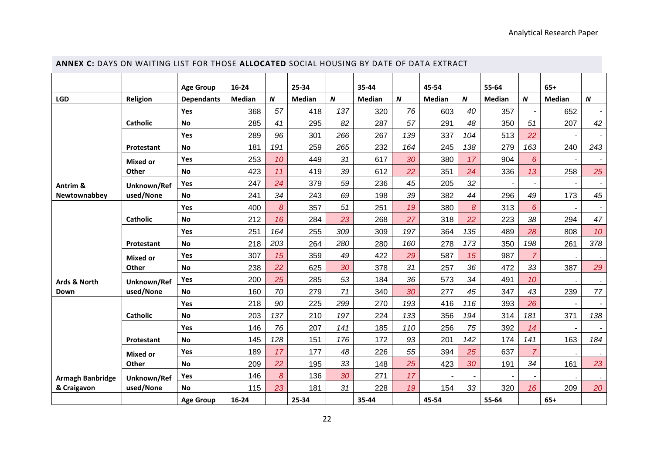<span id="page-21-0"></span>

| ANNEX C: DAYS ON WAITING LIST FOR THOSE ALLOCATED SOCIAL HOUSING BY DATE OF DATA EXTRACT |                   |                   |               |     |               |                  |               |                  |        |     |               |                  |                |                          |
|------------------------------------------------------------------------------------------|-------------------|-------------------|---------------|-----|---------------|------------------|---------------|------------------|--------|-----|---------------|------------------|----------------|--------------------------|
|                                                                                          |                   | <b>Age Group</b>  | 16-24         |     | 25-34         |                  | 35-44         |                  | 45-54  |     | 55-64         |                  | $65+$          |                          |
| LGD                                                                                      | Religion          | <b>Dependants</b> | <b>Median</b> | N   | <b>Median</b> | $\boldsymbol{N}$ | <b>Median</b> | $\boldsymbol{N}$ | Median | N   | <b>Median</b> | $\boldsymbol{N}$ | <b>Median</b>  | $\boldsymbol{N}$         |
|                                                                                          |                   | Yes               | 368           | 57  | 418           | 137              | 320           | 76               | 603    | 40  | 357           |                  | 652            |                          |
|                                                                                          | <b>Catholic</b>   | <b>No</b>         | 285           | 41  | 295           | 82               | 287           | 57               | 291    | 48  | 350           | 51               | 207            | 42                       |
|                                                                                          |                   | Yes               | 289           | 96  | 301           | 266              | 267           | 139              | 337    | 104 | 513           | 22               |                | $\blacksquare$           |
|                                                                                          | Protestant        | <b>No</b>         | 181           | 191 | 259           | 265              | 232           | 164              | 245    | 138 | 279           | 163              | 240            | 243                      |
|                                                                                          | <b>Mixed or</b>   | Yes               | 253           | 10  | 449           | 31               | 617           | 30               | 380    | 17  | 904           | 6                |                |                          |
|                                                                                          | Other             | <b>No</b>         | 423           | 11  | 419           | 39               | 612           | 22               | 351    | 24  | 336           | 13               | 258            | 25                       |
| Antrim &                                                                                 | Unknown/Ref       | Yes               | 247           | 24  | 379           | 59               | 236           | 45               | 205    | 32  | $\sim$        |                  | $\blacksquare$ | $\overline{\phantom{a}}$ |
| Newtownabbey                                                                             | used/None         | <b>No</b>         | 241           | 34  | 243           | 69               | 198           | 39               | 382    | 44  | 296           | 49               | 173            | 45                       |
|                                                                                          |                   | Yes               | 400           | 8   | 357           | 51               | 251           | 19               | 380    | 8   | 313           | 6                |                |                          |
|                                                                                          | <b>Catholic</b>   | <b>No</b>         | 212           | 16  | 284           | 23               | 268           | 27               | 318    | 22  | 223           | 38               | 294            | 47                       |
|                                                                                          |                   | Yes               | 251           | 164 | 255           | 309              | 309           | 197              | 364    | 135 | 489           | 28               | 808            | 10                       |
|                                                                                          | <b>Protestant</b> | <b>No</b>         | 218           | 203 | 264           | 280              | 280           | 160              | 278    | 173 | 350           | 198              | 261            | 378                      |
|                                                                                          | <b>Mixed or</b>   | Yes               | 307           | 15  | 359           | 49               | 422           | 29               | 587    | 15  | 987           | $\overline{7}$   |                | $\cdot$                  |
|                                                                                          | Other             | <b>No</b>         | 238           | 22  | 625           | 30               | 378           | 31               | 257    | 36  | 472           | 33               | 387            | 29                       |
| Ards & North                                                                             | Unknown/Ref       | Yes               | 200           | 25  | 285           | 53               | 184           | 36               | 573    | 34  | 491           | 10               |                |                          |
| Down                                                                                     | used/None         | <b>No</b>         | 160           | 70  | 279           | 71               | 340           | 30               | 277    | 45  | 347           | 43               | 239            | 77                       |
|                                                                                          |                   | Yes               | 218           | 90  | 225           | 299              | 270           | 193              | 416    | 116 | 393           | 26               |                | $\overline{\phantom{a}}$ |
|                                                                                          | <b>Catholic</b>   | No                | 203           | 137 | 210           | 197              | 224           | 133              | 356    | 194 | 314           | 181              | 371            | 138                      |
|                                                                                          |                   | Yes               | 146           | 76  | 207           | 141              | 185           | 110              | 256    | 75  | 392           | 14               |                |                          |
|                                                                                          | Protestant        | <b>No</b>         | 145           | 128 | 151           | 176              | 172           | 93               | 201    | 142 | 174           | 141              | 163            | 184                      |
|                                                                                          | <b>Mixed or</b>   | <b>Yes</b>        | 189           | 17  | 177           | 48               | 226           | 55               | 394    | 25  | 637           | $\overline{7}$   |                |                          |
|                                                                                          | Other             | <b>No</b>         | 209           | 22  | 195           | 33               | 148           | 25               | 423    | 30  | 191           | 34               | 161            | 23                       |
| <b>Armagh Banbridge</b>                                                                  | Unknown/Ref       | Yes               | 146           | 8   | 136           | 30               | 271           | 17               |        |     |               |                  |                | $\bullet$                |
| & Craigavon                                                                              | used/None         | <b>No</b>         | 115           | 23  | 181           | 31               | 228           | 19               | 154    | 33  | 320           | 16               | 209            | 20                       |
|                                                                                          |                   | <b>Age Group</b>  | 16-24         |     | 25-34         |                  | 35-44         |                  | 45-54  |     | 55-64         |                  | $65+$          |                          |

# **ANNEX C:** DAYS ON WAITING LIST FOR THOSE **ALLOCATED** SOCIAL HOUSING BY DATE OF DATA EXTRACT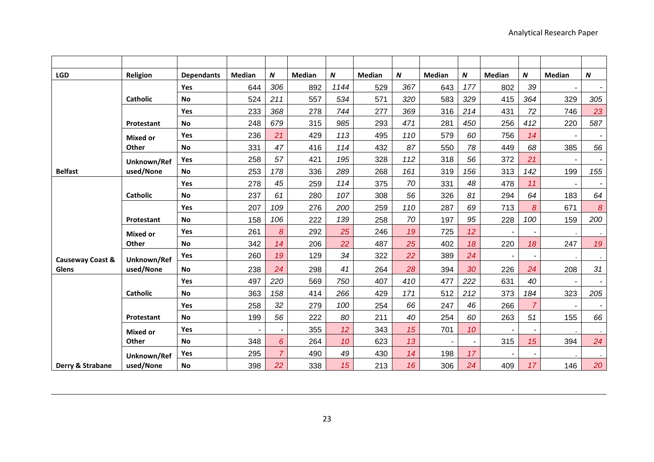| <b>LGD</b>       | Religion        | <b>Dependants</b> | <b>Median</b> | $\boldsymbol{N}$ | <b>Median</b> | N    | <b>Median</b> | $\pmb N$ | Median | N   | <b>Median</b> | $\boldsymbol{N}$ | <b>Median</b>            | N                        |
|------------------|-----------------|-------------------|---------------|------------------|---------------|------|---------------|----------|--------|-----|---------------|------------------|--------------------------|--------------------------|
|                  |                 | Yes               | 644           | 306              | 892           | 1144 | 529           | 367      | 643    | 177 | 802           | 39               |                          |                          |
|                  | <b>Catholic</b> | <b>No</b>         | 524           | 211              | 557           | 534  | 571           | 320      | 583    | 329 | 415           | 364              | 329                      | 305                      |
|                  |                 | Yes               | 233           | 368              | 278           | 744  | 277           | 369      | 316    | 214 | 431           | 72               | 746                      | 23                       |
|                  | Protestant      | <b>No</b>         | 248           | 679              | 315           | 985  | 293           | 471      | 281    | 450 | 256           | 412              | 220                      | 587                      |
|                  | <b>Mixed or</b> | Yes               | 236           | 21               | 429           | 113  | 495           | 110      | 579    | 60  | 756           | 14               |                          | $\overline{\phantom{a}}$ |
|                  | Other           | <b>No</b>         | 331           | 47               | 416           | 114  | 432           | 87       | 550    | 78  | 449           | 68               | 385                      | 56                       |
|                  | Unknown/Ref     | Yes               | 258           | 57               | 421           | 195  | 328           | 112      | 318    | 56  | 372           | 21               |                          | $\overline{\phantom{a}}$ |
| <b>Belfast</b>   | used/None       | <b>No</b>         | 253           | 178              | 336           | 289  | 268           | 161      | 319    | 156 | 313           | 142              | 199                      | 155                      |
|                  |                 | Yes               | 278           | 45               | 259           | 114  | 375           | 70       | 331    | 48  | 478           | 11               | $\overline{\phantom{a}}$ | $\blacksquare$           |
|                  | <b>Catholic</b> | <b>No</b>         | 237           | 61               | 280           | 107  | 308           | 56       | 326    | 81  | 294           | 64               | 183                      | 64                       |
|                  |                 | Yes               | 207           | 109              | 276           | 200  | 259           | 110      | 287    | 69  | 713           | 8                | 671                      | $\boldsymbol{8}$         |
|                  | Protestant      | <b>No</b>         | 158           | 106              | 222           | 139  | 258           | 70       | 197    | 95  | 228           | 100              | 159                      | 200                      |
|                  | <b>Mixed or</b> | Yes               | 261           | $\boldsymbol{8}$ | 292           | 25   | 246           | 19       | 725    | 12  |               |                  |                          | $\sim$                   |
|                  | Other           | <b>No</b>         | 342           | 14               | 206           | 22   | 487           | 25       | 402    | 18  | 220           | 18               | 247                      | 19                       |
| Causeway Coast & | Unknown/Ref     | <b>Yes</b>        | 260           | 19               | 129           | 34   | 322           | 22       | 389    | 24  | ÷             |                  |                          | $\sim$                   |
| Glens            | used/None       | <b>No</b>         | 238           | 24               | 298           | 41   | 264           | 28       | 394    | 30  | 226           | 24               | 208                      | 31                       |
|                  |                 | Yes               | 497           | 220              | 569           | 750  | 407           | 410      | 477    | 222 | 631           | 40               | $\blacksquare$           | $\overline{\phantom{a}}$ |
|                  | <b>Catholic</b> | <b>No</b>         | 363           | 158              | 414           | 266  | 429           | 171      | 512    | 212 | 373           | 184              | 323                      | 205                      |
|                  |                 | Yes               | 258           | 32               | 279           | 100  | 254           | 66       | 247    | 46  | 266           | $\overline{7}$   |                          |                          |
|                  | Protestant      | <b>No</b>         | 199           | 56               | 222           | 80   | 211           | 40       | 254    | 60  | 263           | 51               | 155                      | 66                       |
|                  | <b>Mixed or</b> | Yes               |               |                  | 355           | 12   | 343           | 15       | 701    | 10  |               |                  |                          |                          |
|                  | Other           | <b>No</b>         | 348           | 6                | 264           | 10   | 623           | 13       |        |     | 315           | 15               | 394                      | 24                       |
|                  | Unknown/Ref     | Yes               | 295           | $\overline{7}$   | 490           | 49   | 430           | 14       | 198    | 17  |               |                  |                          | $\sim$                   |
| Derry & Strabane | used/None       | No                | 398           | 22               | 338           | 15   | 213           | 16       | 306    | 24  | 409           | 17               | 146                      | 20                       |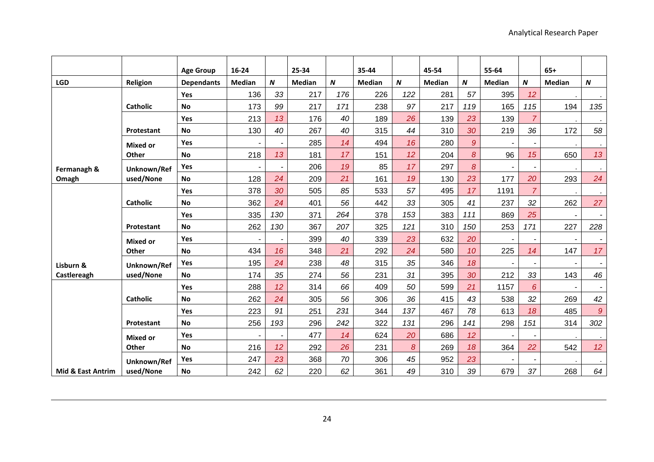|                   |                 | <b>Age Group</b>  | 16-24          |                          | 25-34         |     | 35-44         |                  | 45-54         |                | 55-64                    |                          | $65+$                    |                          |
|-------------------|-----------------|-------------------|----------------|--------------------------|---------------|-----|---------------|------------------|---------------|----------------|--------------------------|--------------------------|--------------------------|--------------------------|
| <b>LGD</b>        | Religion        | <b>Dependants</b> | <b>Median</b>  | $\boldsymbol{N}$         | <b>Median</b> | N   | <b>Median</b> | $\boldsymbol{N}$ | <b>Median</b> | N              | <b>Median</b>            | $\boldsymbol{N}$         | <b>Median</b>            | $\boldsymbol{N}$         |
|                   |                 | Yes               | 136            | 33                       | 217           | 176 | 226           | 122              | 281           | 57             | 395                      | 12                       |                          | $\epsilon$               |
|                   | <b>Catholic</b> | <b>No</b>         | 173            | 99                       | 217           | 171 | 238           | 97               | 217           | 119            | 165                      | 115                      | 194                      | 135                      |
|                   |                 | Yes               | 213            | 13                       | 176           | 40  | 189           | 26               | 139           | 23             | 139                      | $\overline{7}$           |                          | $\bullet$                |
|                   | Protestant      | No                | 130            | 40                       | 267           | 40  | 315           | 44               | 310           | 30             | 219                      | 36                       | 172                      | 58                       |
|                   | <b>Mixed or</b> | <b>Yes</b>        | $\blacksquare$ | $\overline{\phantom{a}}$ | 285           | 14  | 494           | 16               | 280           | $\mathcal{Q}$  | $\blacksquare$           | $\overline{\phantom{a}}$ |                          | $\bullet$                |
|                   | Other           | <b>No</b>         | 218            | 13                       | 181           | 17  | 151           | 12               | 204           | $\delta$       | 96                       | 15                       | 650                      | 13                       |
| Fermanagh &       | Unknown/Ref     | <b>Yes</b>        |                |                          | 206           | 19  | 85            | 17               | 297           | $\overline{8}$ |                          |                          |                          | $\sim$                   |
| Omagh             | used/None       | <b>No</b>         | 128            | 24                       | 209           | 21  | 161           | 19               | 130           | 23             | 177                      | 20                       | 293                      | 24                       |
|                   |                 | Yes               | 378            | 30                       | 505           | 85  | 533           | 57               | 495           | 17             | 1191                     | $\overline{7}$           |                          | $\bullet$                |
|                   | <b>Catholic</b> | <b>No</b>         | 362            | 24                       | 401           | 56  | 442           | 33               | 305           | 41             | 237                      | 32                       | 262                      | 27                       |
|                   |                 | Yes               | 335            | 130                      | 371           | 264 | 378           | 153              | 383           | 111            | 869                      | 25                       |                          | $\blacksquare$           |
|                   | Protestant      | <b>No</b>         | 262            | 130                      | 367           | 207 | 325           | 121              | 310           | 150            | 253                      | 171                      | 227                      | 228                      |
|                   | <b>Mixed or</b> | <b>Yes</b>        |                |                          | 399           | 40  | 339           | 23               | 632           | 20             |                          |                          |                          | $\overline{\phantom{a}}$ |
|                   | Other           | <b>No</b>         | 434            | 16                       | 348           | 21  | 292           | 24               | 580           | 10             | 225                      | 14                       | 147                      | 17                       |
| Lisburn &         | Unknown/Ref     | Yes               | 195            | 24                       | 238           | 48  | 315           | 35               | 346           | 18             | $\overline{\phantom{a}}$ |                          | $\overline{\phantom{a}}$ | $\blacksquare$           |
| Castlereagh       | used/None       | <b>No</b>         | 174            | 35                       | 274           | 56  | 231           | 31               | 395           | 30             | 212                      | 33                       | 143                      | 46                       |
|                   |                 | Yes               | 288            | 12                       | 314           | 66  | 409           | 50               | 599           | 21             | 1157                     | 6                        | $\blacksquare$           | $\blacksquare$           |
|                   | <b>Catholic</b> | <b>No</b>         | 262            | 24                       | 305           | 56  | 306           | 36               | 415           | 43             | 538                      | 32                       | 269                      | 42                       |
|                   |                 | <b>Yes</b>        | 223            | 91                       | 251           | 231 | 344           | 137              | 467           | 78             | 613                      | 18                       | 485                      | $\boldsymbol{9}$         |
|                   | Protestant      | <b>No</b>         | 256            | 193                      | 296           | 242 | 322           | 131              | 296           | 141            | 298                      | 151                      | 314                      | 302                      |
|                   | <b>Mixed or</b> | Yes               |                |                          | 477           | 14  | 624           | 20               | 686           | 12             |                          |                          |                          | $\bullet$                |
|                   | Other           | <b>No</b>         | 216            | 12                       | 292           | 26  | 231           | 8                | 269           | 18             | 364                      | 22                       | 542                      | 12 <sup>°</sup>          |
|                   | Unknown/Ref     | Yes               | 247            | 23                       | 368           | 70  | 306           | 45               | 952           | 23             |                          |                          |                          |                          |
| Mid & East Antrim | used/None       | <b>No</b>         | 242            | 62                       | 220           | 62  | 361           | 49               | 310           | 39             | 679                      | 37                       | 268                      | 64                       |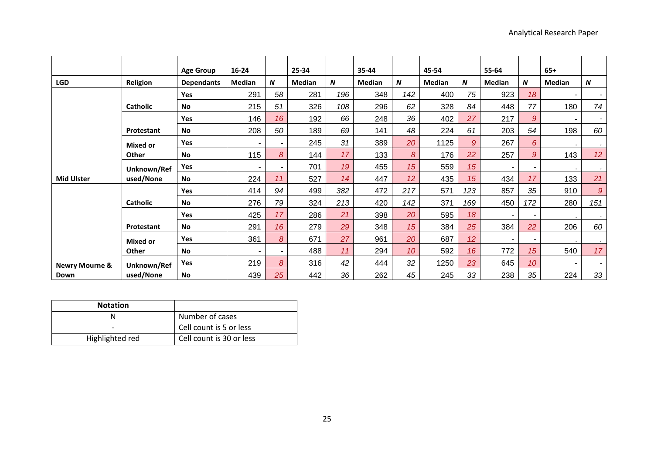|                           |                 | <b>Age Group</b>  | $16 - 24$ |                  | 25-34  |     | 35-44  |                  | 45-54  |                 | 55-64  |                  | $65+$                    |                          |
|---------------------------|-----------------|-------------------|-----------|------------------|--------|-----|--------|------------------|--------|-----------------|--------|------------------|--------------------------|--------------------------|
| <b>LGD</b>                | Religion        | <b>Dependants</b> | Median    | $\boldsymbol{N}$ | Median | N   | Median | $\boldsymbol{N}$ | Median | N               | Median | $\boldsymbol{N}$ | Median                   | $\boldsymbol{N}$         |
|                           |                 | Yes               | 291       | 58               | 281    | 196 | 348    | 142              | 400    | 75              | 923    | 18               | $\overline{\phantom{a}}$ | $\sim$                   |
|                           | Catholic        | <b>No</b>         | 215       | 51               | 326    | 108 | 296    | 62               | 328    | 84              | 448    | 77               | 180                      | 74                       |
|                           |                 | Yes               | 146       | 16               | 192    | 66  | 248    | 36               | 402    | 27              | 217    | 9                | $\overline{\phantom{a}}$ | $\overline{\phantom{a}}$ |
|                           | Protestant      | <b>No</b>         | 208       | 50               | 189    | 69  | 141    | 48               | 224    | 61              | 203    | 54               | 198                      | 60                       |
|                           | <b>Mixed or</b> | Yes               |           |                  | 245    | 31  | 389    | 20               | 1125   | 9               | 267    | 6                |                          | $\sim$                   |
|                           | Other           | <b>No</b>         | 115       | 8                | 144    | 17  | 133    | 8                | 176    | 22              | 257    | 9                | 143                      | 12 <sup>°</sup>          |
|                           | Unknown/Ref     | Yes               |           |                  | 701    | 19  | 455    | 15               | 559    | 15              | ۰      |                  |                          | $\sim$                   |
| <b>Mid Ulster</b>         | used/None       | <b>No</b>         | 224       | 11               | 527    | 14  | 447    | 12               | 435    | 15              | 434    | 17               | 133                      | 21                       |
|                           |                 | Yes               | 414       | 94               | 499    | 382 | 472    | 217              | 571    | 123             | 857    | 35               | 910                      | 9                        |
|                           | <b>Catholic</b> | <b>No</b>         | 276       | 79               | 324    | 213 | 420    | 142              | 371    | 169             | 450    | 172              | 280                      | 151                      |
|                           |                 | Yes               | 425       | 17               | 286    | 21  | 398    | 20               | 595    | 18              | ۰      |                  |                          | $\bullet$                |
|                           | Protestant      | <b>No</b>         | 291       | 16               | 279    | 29  | 348    | 15               | 384    | 25              | 384    | 22               | 206                      | 60                       |
|                           | <b>Mixed or</b> | Yes               | 361       | 8                | 671    | 27  | 961    | 20               | 687    | 12 <sup>°</sup> | ۰      |                  |                          | $\cdot$                  |
|                           | <b>Other</b>    | <b>No</b>         |           |                  | 488    | 11  | 294    | 10               | 592    | 16              | 772    | 15 <sup>15</sup> | 540                      | 17                       |
| <b>Newry Mourne &amp;</b> | Unknown/Ref     | Yes               | 219       | 8                | 316    | 42  | 444    | 32               | 1250   | 23              | 645    | 10               | $\overline{\phantom{0}}$ | $\overline{\phantom{a}}$ |
| Down                      | used/None       | <b>No</b>         | 439       | 25               | 442    | 36  | 262    | 45               | 245    | 33              | 238    | 35               | 224                      | 33                       |

| <b>Notation</b> |                          |
|-----------------|--------------------------|
|                 | Number of cases          |
|                 | Cell count is 5 or less  |
| Highlighted red | Cell count is 30 or less |